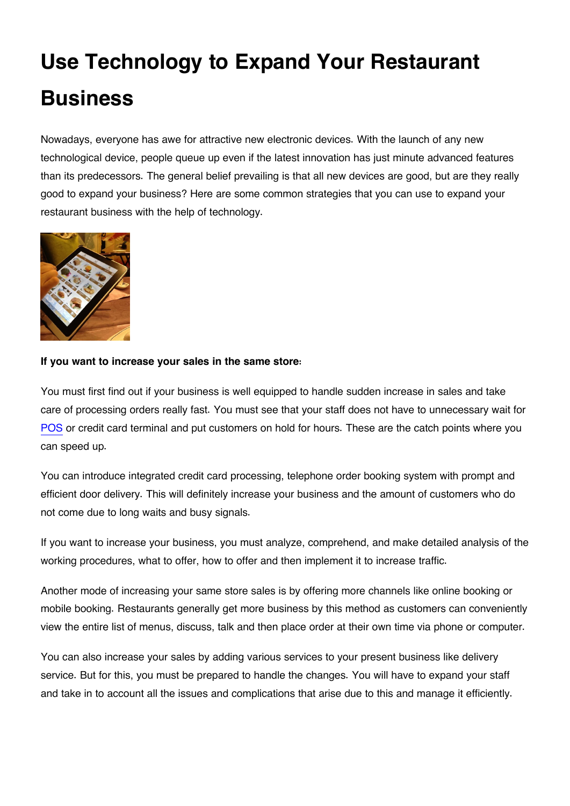# **Use Technology to Expand Your Restaurant Business**

Nowadays, everyone has awe for attractive new electronic devices. With the launch of any new technological device, people queue up even if the latest innovation has just minute advanced features than its predecessors. The general belief prevailing is that all new devices are good, but are they really good to expand your business? Here are some common strategies that you can use to expand your restaurant business with the help of technology.



### **If you want to increase your sales in the same store:**

You must first find out if your business is well equipped to handle sudden increase in sales and take care of processing orders really fast. You must see that your staff does not have to unnecessary wait for [POS](https://en.wikipedia.org/wiki/Point_of_sale) or credit card terminal and put customers on hold for hours. These are the catch points where you can speed up.

You can introduce integrated credit card processing, telephone order booking system with prompt and efficient door delivery. This will definitely increase your business and the amount of customers who do not come due to long waits and busy signals.

If you want to increase your business, you must analyze, comprehend, and make detailed analysis of the working procedures, what to offer, how to offer and then implement it to increase traffic.

Another mode of increasing your same store sales is by offering more channels like online booking or mobile booking. Restaurants generally get more business by this method as customers can conveniently view the entire list of menus, discuss, talk and then place order at their own time via phone or computer.

You can also increase your sales by adding various services to your present business like delivery service. But for this, you must be prepared to handle the changes. You will have to expand your staff and take in to account all the issues and complications that arise due to this and manage it efficiently.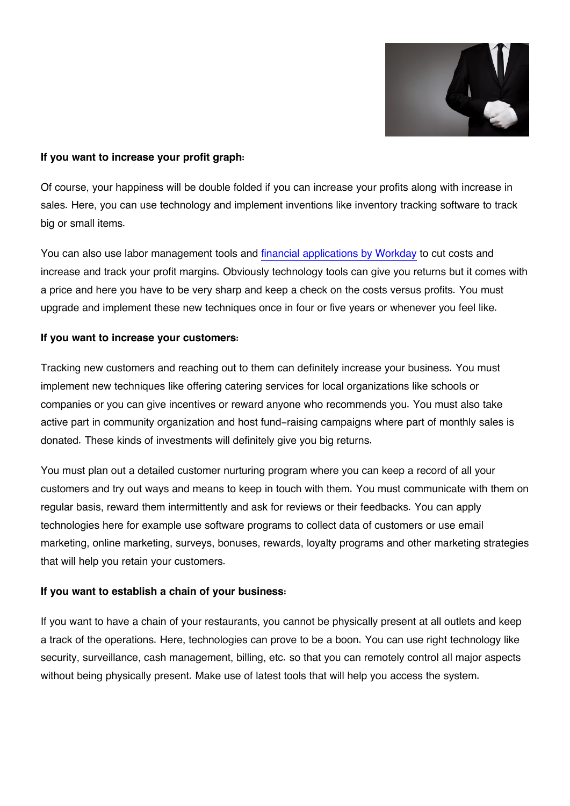

#### **If you want to increase your profit graph:**

Of course, your happiness will be double folded if you can increase your profits along with increase in sales. Here, you can use technology and implement inventions like inventory tracking software to track big or small items.

You can also use labor management tools and [financial applications by Workday](http://www.workday.com/applications/financial_management.php) to cut costs and increase and track your profit margins. Obviously technology tools can give you returns but it comes with a price and here you have to be very sharp and keep a check on the costs versus profits. You must upgrade and implement these new techniques once in four or five years or whenever you feel like.

### **If you want to increase your customers:**

Tracking new customers and reaching out to them can definitely increase your business. You must implement new techniques like offering catering services for local organizations like schools or companies or you can give incentives or reward anyone who recommends you. You must also take active part in community organization and host fund-raising campaigns where part of monthly sales is donated. These kinds of investments will definitely give you big returns.

You must plan out a detailed customer nurturing program where you can keep a record of all your customers and try out ways and means to keep in touch with them. You must communicate with them on regular basis, reward them intermittently and ask for reviews or their feedbacks. You can apply technologies here for example use software programs to collect data of customers or use email marketing, online marketing, surveys, bonuses, rewards, loyalty programs and other marketing strategies that will help you retain your customers.

### **If you want to establish a chain of your business:**

If you want to have a chain of your restaurants, you cannot be physically present at all outlets and keep a track of the operations. Here, technologies can prove to be a boon. You can use right technology like security, surveillance, cash management, billing, etc. so that you can remotely control all major aspects without being physically present. Make use of latest tools that will help you access the system.